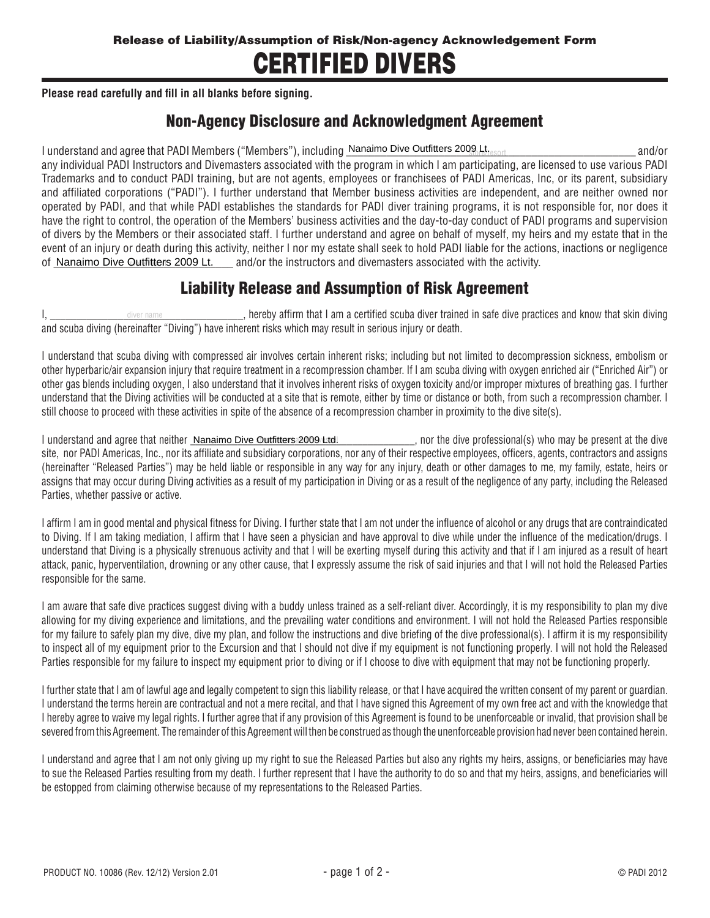## CERTIFIED DIVERS

**Please read carefully and fill in all blanks before signing.**

## Non-Agency Disclosure and Acknowledgment Agreement

I understand and agree that PADI Members ("Members"), including \_\_\_\_\_\_\_\_\_\_\_\_\_\_\_\_\_\_\_\_\_\_\_\_\_\_\_\_\_\_\_\_\_\_\_\_\_\_\_\_\_\_\_\_\_\_\_\_\_\_ and/or store/resort Nanaimo Dive Outfitters 2009 Lt. any individual PADI Instructors and Divemasters associated with the program in which I am participating, are licensed to use various PADI Trademarks and to conduct PADI training, but are not agents, employees or franchisees of PADI Americas, Inc, or its parent, subsidiary and affiliated corporations ("PADI"). I further understand that Member business activities are independent, and are neither owned nor operated by PADI, and that while PADI establishes the standards for PADI diver training programs, it is not responsible for, nor does it have the right to control, the operation of the Members' business activities and the day-to-day conduct of PADI programs and supervision of divers by the Members or their associated staff. I further understand and agree on behalf of myself, my heirs and my estate that in the event of an injury or death during this activity, neither I nor my estate shall seek to hold PADI liable for the actions, inactions or negligence of Nanaimo Dive Outfitters 2009 Lt. Land/or the instructors and divemasters associated with the activity.

## Liability Release and Assumption of Risk Agreement

I,  $\blacksquare$  aliver name  $\blacksquare$  and  $\blacksquare$  are the safe of the trained in safe dive practices and know that skin diving and scuba diving (hereinafter "Diving") have inherent risks which may result in serious injury or death. diver name

I understand that scuba diving with compressed air involves certain inherent risks; including but not limited to decompression sickness, embolism or other hyperbaric/air expansion injury that require treatment in a recompression chamber. If I am scuba diving with oxygen enriched air ("Enriched Air") or other gas blends including oxygen, I also understand that it involves inherent risks of oxygen toxicity and/or improper mixtures of breathing gas. I further understand that the Diving activities will be conducted at a site that is remote, either by time or distance or both, from such a recompression chamber. I still choose to proceed with these activities in spite of the absence of a recompression chamber in proximity to the dive site(s).

l understand and agree that neither <u>\_Nanaimo Dive Outfitters 2009 Ltd.</u> \_\_\_\_\_\_\_\_\_\_\_\_\_\_\_, nor the dive professional(s) who may be present at the dive site, nor PADI Americas, Inc., nor its affiliate and subsidiary corporations, nor any of their respective employees, officers, agents, contractors and assigns (hereinafter "Released Parties") may be held liable or responsible in any way for any injury, death or other damages to me, my family, estate, heirs or assigns that may occur during Diving activities as a result of my participation in Diving or as a result of the negligence of any party, including the Released Parties, whether passive or active.

I affirm I am in good mental and physical fitness for Diving. I further state that I am not under the influence of alcohol or any drugs that are contraindicated to Diving. If I am taking mediation, I affirm that I have seen a physician and have approval to dive while under the influence of the medication/drugs. I understand that Diving is a physically strenuous activity and that I will be exerting myself during this activity and that if I am injured as a result of heart attack, panic, hyperventilation, drowning or any other cause, that I expressly assume the risk of said injuries and that I will not hold the Released Parties responsible for the same.

I am aware that safe dive practices suggest diving with a buddy unless trained as a self-reliant diver. Accordingly, it is my responsibility to plan my dive allowing for my diving experience and limitations, and the prevailing water conditions and environment. I will not hold the Released Parties responsible for my failure to safely plan my dive, dive my plan, and follow the instructions and dive briefing of the dive professional(s). I affirm it is my responsibility to inspect all of my equipment prior to the Excursion and that I should not dive if my equipment is not functioning properly. I will not hold the Released Parties responsible for my failure to inspect my equipment prior to diving or if I choose to dive with equipment that may not be functioning properly.

I further state that I am of lawful age and legally competent to sign this liability release, or that I have acquired the written consent of my parent or quardian. I understand the terms herein are contractual and not a mere recital, and that I have signed this Agreement of my own free act and with the knowledge that I hereby agree to waive my legal rights. I further agree that if any provision of this Agreement is found to be unenforceable or invalid, that provision shall be severed from this Agreement. The remainder of this Agreement will then be construed as though the unenforceable provision had never been contained herein.

I understand and agree that I am not only giving up my right to sue the Released Parties but also any rights my heirs, assigns, or beneficiaries may have to sue the Released Parties resulting from my death. I further represent that I have the authority to do so and that my heirs, assigns, and beneficiaries will be estopped from claiming otherwise because of my representations to the Released Parties.